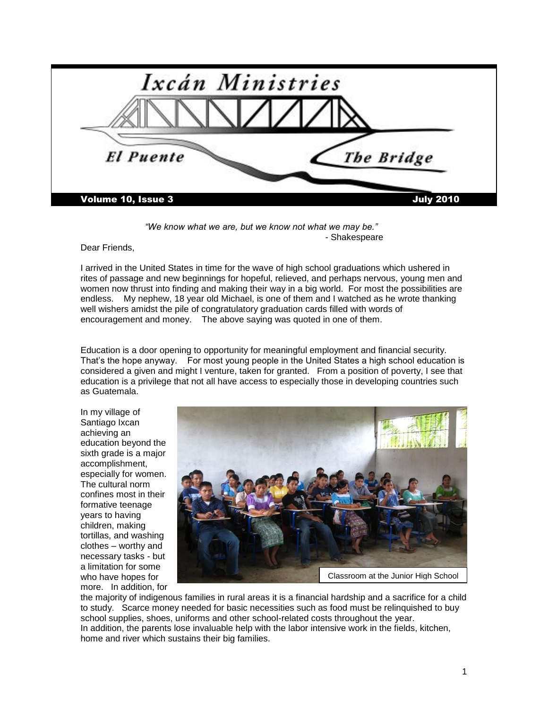

*"We know what we are, but we know not what we may be."*  - Shakespeare

Dear Friends,

I arrived in the United States in time for the wave of high school graduations which ushered in rites of passage and new beginnings for hopeful, relieved, and perhaps nervous, young men and women now thrust into finding and making their way in a big world. For most the possibilities are endless. My nephew, 18 year old Michael, is one of them and I watched as he wrote thanking well wishers amidst the pile of congratulatory graduation cards filled with words of encouragement and money. The above saying was quoted in one of them.

Education is a door opening to opportunity for meaningful employment and financial security. That"s the hope anyway. For most young people in the United States a high school education is considered a given and might I venture, taken for granted. From a position of poverty, I see that education is a privilege that not all have access to especially those in developing countries such as Guatemala.

In my village of Santiago Ixcan achieving an education beyond the sixth grade is a major accomplishment, especially for women. The cultural norm confines most in their formative teenage years to having children, making tortillas, and washing clothes – worthy and necessary tasks - but a limitation for some who have hopes for more. In addition, for



the majority of indigenous families in rural areas it is a financial hardship and a sacrifice for a child to study. Scarce money needed for basic necessities such as food must be relinquished to buy school supplies, shoes, uniforms and other school-related costs throughout the year. In addition, the parents lose invaluable help with the labor intensive work in the fields, kitchen, home and river which sustains their big families.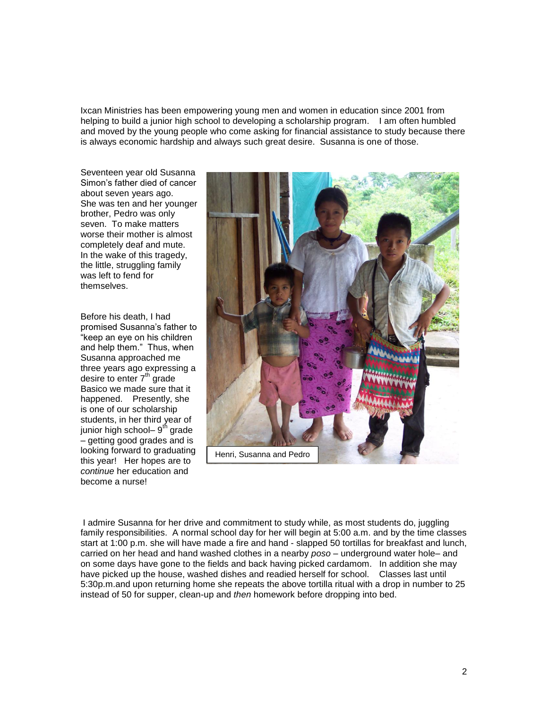Ixcan Ministries has been empowering young men and women in education since 2001 from helping to build a junior high school to developing a scholarship program. I am often humbled and moved by the young people who come asking for financial assistance to study because there is always economic hardship and always such great desire. Susanna is one of those.

Seventeen year old Susanna Simon"s father died of cancer about seven years ago. She was ten and her younger brother, Pedro was only seven. To make matters worse their mother is almost completely deaf and mute. In the wake of this tragedy, the little, struggling family was left to fend for themselves.

Before his death, I had promised Susanna"s father to "keep an eye on his children and help them." Thus, when Susanna approached me three years ago expressing a desire to enter  $7<sup>th</sup>$  grade Basico we made sure that it happened. Presently, she is one of our scholarship students, in her third year of junior high school– 9<sup>th</sup> grade – getting good grades and is looking forward to graduating this year! Her hopes are to *continue* her education and become a nurse!



I admire Susanna for her drive and commitment to study while, as most students do, juggling family responsibilities. A normal school day for her will begin at 5:00 a.m. and by the time classes start at 1:00 p.m. she will have made a fire and hand - slapped 50 tortillas for breakfast and lunch, carried on her head and hand washed clothes in a nearby *poso* – underground water hole– and on some days have gone to the fields and back having picked cardamom. In addition she may have picked up the house, washed dishes and readied herself for school. Classes last until 5:30p.m.and upon returning home she repeats the above tortilla ritual with a drop in number to 25 instead of 50 for supper, clean-up and *then* homework before dropping into bed.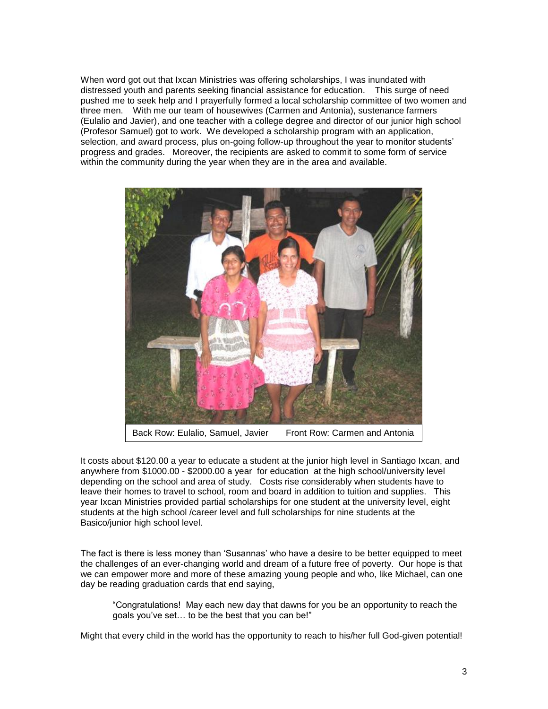When word got out that Ixcan Ministries was offering scholarships, I was inundated with distressed youth and parents seeking financial assistance for education. This surge of need pushed me to seek help and I prayerfully formed a local scholarship committee of two women and three men. With me our team of housewives (Carmen and Antonia), sustenance farmers (Eulalio and Javier), and one teacher with a college degree and director of our junior high school (Profesor Samuel) got to work. We developed a scholarship program with an application, selection, and award process, plus on-going follow-up throughout the year to monitor students" progress and grades. Moreover, the recipients are asked to commit to some form of service within the community during the year when they are in the area and available.



It costs about \$120.00 a year to educate a student at the junior high level in Santiago Ixcan, and anywhere from \$1000.00 - \$2000.00 a year for education at the high school/university level depending on the school and area of study. Costs rise considerably when students have to leave their homes to travel to school, room and board in addition to tuition and supplies. This year Ixcan Ministries provided partial scholarships for one student at the university level, eight students at the high school /career level and full scholarships for nine students at the Basico/junior high school level.

The fact is there is less money than "Susannas" who have a desire to be better equipped to meet the challenges of an ever-changing world and dream of a future free of poverty. Our hope is that we can empower more and more of these amazing young people and who, like Michael, can one day be reading graduation cards that end saying,

"Congratulations! May each new day that dawns for you be an opportunity to reach the goals you"ve set… to be the best that you can be!"

Might that every child in the world has the opportunity to reach to his/her full God-given potential!